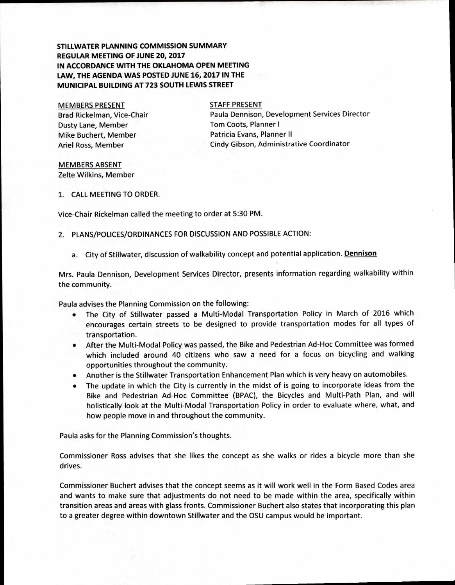## **STILLWATER PLANNING COMMISSION SUMMARY REGULAR MEETING OF JUNE 20, 2017 IN ACCORDANCE WITH THE OKLAHOMA OPEN MEETING LAW, THE AGENDA WAS POSTED JUNE 16, 2017 IN THE MUNICIPAL BUILDING AT 723 SOUTH LEWIS STREET**

MEMBERS PRESENT Brad Rickelman, Vice-Chair Dusty Lane, Member Mike Buchert, Member Ariel Ross, Member

STAFF PRESENT Paula Dennison, Development Services Director Tom Coots, Planner I Patricia Evans, Planner II Cindy Gibson, Administrative Coordinator

MEMBERS ABSENT Zelte Wilkins, Member

1. CALL MEETING TO ORDER.

Vice-Chair Rickelman called the meeting to order at 5:30 PM.

- 2. PLANS/POLICES/ORDINANCES FOR DISCUSSION AND POSSIBLE ACTION:
	- a. City of Stillwater, discussion of walkability concept and potential application. **Dennison**

Mrs. Paula Dennison, Development Services Director, presents information regarding walkability within the community.

Paula advises the Planning Commission on the following:

- The City of Stillwater passed a Multi-Modal Transportation Policy in March of 2016 which encourages certain streets to be designed to provide transportation modes for all types of transportation.
- After the Multi-Modal Policy was passed, the Bike and Pedestrian Ad-Hoc Committee was formed which included around 40 citizens who saw a need for a focus on bicycling and walking opportunities throughout the community.
- Another is the Stillwater Transportation Enhancement Plan which is very heavy on automobiles.
- The update in which the City is currently in the midst of is going to incorporate ideas from the Bike and Pedestrian Ad-Hoc Committee (BPAC), the Bicycles and Multi-Path Plan, and will holistically look at the Multi-Modal Transportation Policy in order to evaluate where, what, and how people move in and throughout the community.

Paula asks for the Planning Commission's thoughts.

Commissioner Ross advises that she likes the concept as she walks or rides a bicycle more than she drives.

Commissioner Buchert advises that the concept seems as it will work well in the Form Based Codes area and wants to make sure that adjustments do not need to be made within the area, specifically within transition areas and areas with glass fronts. Commissioner Buchert also states that incorporating this plan to a greater degree within downtown Stillwater and the OSU campus would be important.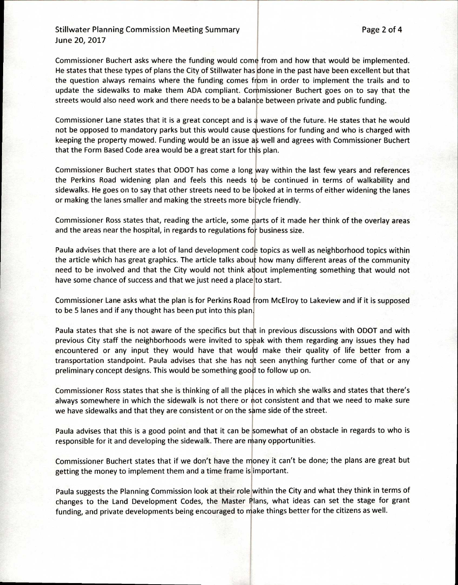## Stillwater Planning Commission Meeting Summary **Page 2 of 4** Page 2 of 4 June 20, 2017

Commissioner Buchert asks where the funding would come from and how that would be implemented. He states that these types of plans the City of Stillwater has done in the past have been excellent but that the question always remains where the funding comes from in order to implement the trails and to update the sidewalks to make them ADA compliant. Commissioner Buchert goes on to say that the streets would also need work and there needs to be a balance between private and public funding.

Commissioner Lane states that it is a great concept and is a wave of the future. He states that he would not be opposed to mandatory parks but this would cause questions for funding and who is charged with keeping the property mowed. Funding would be an issue as well and agrees with Commissioner Buchert that the Form Based Code area would be a great start for this plan.

Commissioner Buchert states that ODOT has come a long way within the last few years and references the Perkins Road widening plan and feels this needs to be continued in terms of walkability and sidewalks. He goes on to say that other streets need to be looked at in terms of either widening the lanes or making the lanes smaller and making the streets more bicycle friendly.

Commissioner Ross states that, reading the article, some parts of it made her think of the overlay areas and the areas near the hospital, in regards to regulations for business size.

Paula advises that there are a lot of land development code topics as well as neighborhood topics within the article which has great graphics. The article talks about how many different areas of the community need to be involved and that the City would not think about implementing something that would not have some chance of success and that we just need a place to start.

Commissioner Lane asks what the plan is for Perkins Road from McElroy to Lakeview and if it is supposed to be 5 lanes and if any thought has been put into this plan.

Paula states that she is not aware of the specifics but that in previous discussions with ODOT and with previous City staff the neighborhoods were invited to speak with them regarding any issues they had encountered or any input they would have that would make their quality of life better from a transportation standpoint. Paula advises that she has not seen anything further come of that or any preliminary concept designs. This would be something good to follow up on.

Commissioner Ross states that she is thinking of all the places in which she walks and states that there's always somewhere in which the sidewalk is not there or not consistent and that we need to make sure we have sidewalks and that they are consistent or on the same side of the street.

Paula advises that this is a good point and that it can be somewhat of an obstacle in regards to who is responsible for it and developing the sidewalk. There are many opportunities.

Commissioner Buchert states that if we don't have the money it can't be done; the plans are great but getting the money to implement them and a time frame is important.

Paula suggests the Planning Commission look at their role within the City and what they think in terms of changes to the Land Development Codes, the Master Plans, what ideas can set the stage for grant funding, and private developments being encouraged to make things better for the citizens as well.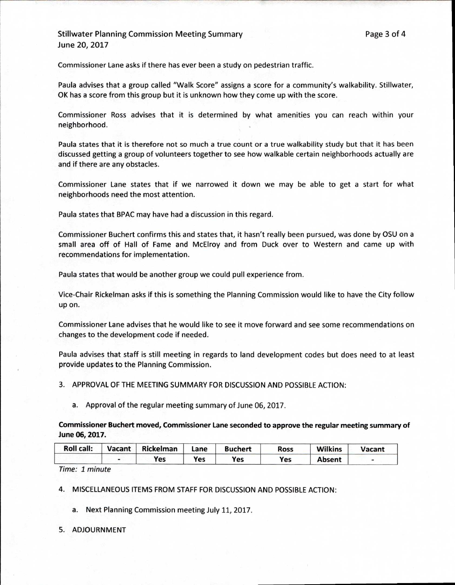## Stillwater Planning Commission Meeting Summary **Page 3 of 4** and 2008 and 2011 and 2012 and 2013 June 20, 2017

Commissioner Lane asks if there has ever been a study on pedestrian traffic.

Paula advises that a group called "Walk Score" assigns a score for a community's walkability. Stillwater, OK has a score from this group but it is unknown how they come up with the score.

Commissioner Ross advises that it is determined by what amenities you can reach within your neighborhood.

Paula states that it is therefore not so much a true count or a true walkability study but that it has been discussed getting a group of volunteers together to see how walkable certain neighborhoods actually are and if there are any obstacles.

Commissioner Lane states that if we narrowed it down we may be able to get a start for what neighborhoods need the most attention.

Paula states that BPAC may have had a discussion in this regard.

Commissioner Buchert confirms this and states that, it hasn't really been pursued, was done by OSU on a small area off of Hall of Fame and McElroy and from Duck over to Western and came up with recommendations for implementation.

Paula states that would be another group we could pull experience from.

Vice-Chair Rickelman asks if this is something the Planning Commission would like to have the City follow up on.

Commissioner Lane advises that he would like to see it move forward and see some recommendations on changes to the development code if needed.

Paula advises that staff is still meeting in regards to land development codes but does need to at least provide updates to the Planning Commission.

3. APPROVAL OF THE MEETING SUMMARY FOR DISCUSSION AND POSSIBLE ACTION:

a. Approval of the regular meeting summary of June 06, 2017.

**Commissioner Buchert moved, Commissioner Lane seconded to approve the regular meeting summary of June 06, 2017.** 

| <b>Roll call:</b> | Vacant   Rickelman | Lane | <b>Buchert</b> | Ross | <b>Wilkins</b> | Vacant |
|-------------------|--------------------|------|----------------|------|----------------|--------|
|                   | Yes                | Yes  | Yes            | Yes  | <b>Absent</b>  |        |

Time: 1 minute

4. MISCELLANEOUS ITEMS FROM STAFF FOR DISCUSSION AND POSSIBLE ACTION:

a. Next Planning Commission meeting July 11, 2017.

5. ADJOURNMENT